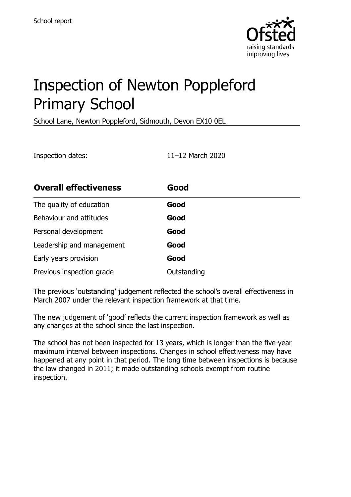

# Inspection of Newton Poppleford Primary School

School Lane, Newton Poppleford, Sidmouth, Devon EX10 0EL

Inspection dates: 11–12 March 2020

| <b>Overall effectiveness</b> | Good        |
|------------------------------|-------------|
| The quality of education     | Good        |
| Behaviour and attitudes      | Good        |
| Personal development         | Good        |
| Leadership and management    | Good        |
| Early years provision        | Good        |
| Previous inspection grade    | Outstanding |

The previous 'outstanding' judgement reflected the school's overall effectiveness in March 2007 under the relevant inspection framework at that time.

The new judgement of 'good' reflects the current inspection framework as well as any changes at the school since the last inspection.

The school has not been inspected for 13 years, which is longer than the five-year maximum interval between inspections. Changes in school effectiveness may have happened at any point in that period. The long time between inspections is because the law changed in 2011; it made outstanding schools exempt from routine inspection.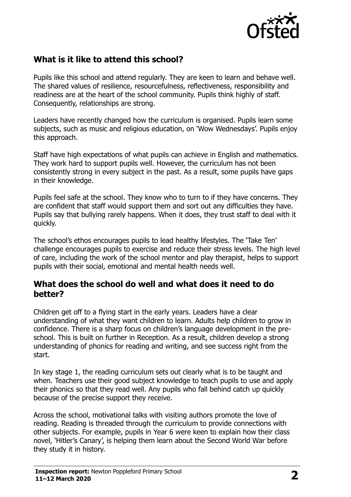

# **What is it like to attend this school?**

Pupils like this school and attend regularly. They are keen to learn and behave well. The shared values of resilience, resourcefulness, reflectiveness, responsibility and readiness are at the heart of the school community. Pupils think highly of staff. Consequently, relationships are strong.

Leaders have recently changed how the curriculum is organised. Pupils learn some subjects, such as music and religious education, on 'Wow Wednesdays'. Pupils enjoy this approach.

Staff have high expectations of what pupils can achieve in English and mathematics. They work hard to support pupils well. However, the curriculum has not been consistently strong in every subject in the past. As a result, some pupils have gaps in their knowledge.

Pupils feel safe at the school. They know who to turn to if they have concerns. They are confident that staff would support them and sort out any difficulties they have. Pupils say that bullying rarely happens. When it does, they trust staff to deal with it quickly.

The school's ethos encourages pupils to lead healthy lifestyles. The 'Take Ten' challenge encourages pupils to exercise and reduce their stress levels. The high level of care, including the work of the school mentor and play therapist, helps to support pupils with their social, emotional and mental health needs well.

#### **What does the school do well and what does it need to do better?**

Children get off to a flying start in the early years. Leaders have a clear understanding of what they want children to learn. Adults help children to grow in confidence. There is a sharp focus on children's language development in the preschool. This is built on further in Reception. As a result, children develop a strong understanding of phonics for reading and writing, and see success right from the start.

In key stage 1, the reading curriculum sets out clearly what is to be taught and when. Teachers use their good subject knowledge to teach pupils to use and apply their phonics so that they read well. Any pupils who fall behind catch up quickly because of the precise support they receive.

Across the school, motivational talks with visiting authors promote the love of reading. Reading is threaded through the curriculum to provide connections with other subjects. For example, pupils in Year 6 were keen to explain how their class novel, 'Hitler's Canary', is helping them learn about the Second World War before they study it in history.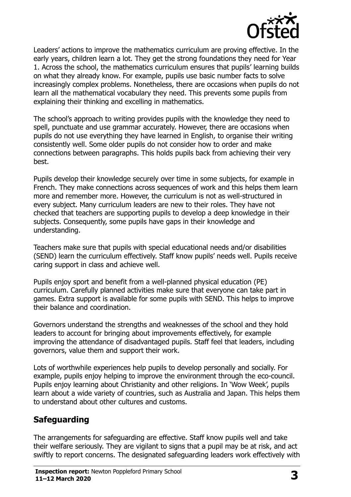

Leaders' actions to improve the mathematics curriculum are proving effective. In the early years, children learn a lot. They get the strong foundations they need for Year 1. Across the school, the mathematics curriculum ensures that pupils' learning builds on what they already know. For example, pupils use basic number facts to solve increasingly complex problems. Nonetheless, there are occasions when pupils do not learn all the mathematical vocabulary they need. This prevents some pupils from explaining their thinking and excelling in mathematics.

The school's approach to writing provides pupils with the knowledge they need to spell, punctuate and use grammar accurately. However, there are occasions when pupils do not use everything they have learned in English, to organise their writing consistently well. Some older pupils do not consider how to order and make connections between paragraphs. This holds pupils back from achieving their very best.

Pupils develop their knowledge securely over time in some subjects, for example in French. They make connections across sequences of work and this helps them learn more and remember more. However, the curriculum is not as well-structured in every subject. Many curriculum leaders are new to their roles. They have not checked that teachers are supporting pupils to develop a deep knowledge in their subjects. Consequently, some pupils have gaps in their knowledge and understanding.

Teachers make sure that pupils with special educational needs and/or disabilities (SEND) learn the curriculum effectively. Staff know pupils' needs well. Pupils receive caring support in class and achieve well.

Pupils enjoy sport and benefit from a well-planned physical education (PE) curriculum. Carefully planned activities make sure that everyone can take part in games. Extra support is available for some pupils with SEND. This helps to improve their balance and coordination.

Governors understand the strengths and weaknesses of the school and they hold leaders to account for bringing about improvements effectively, for example improving the attendance of disadvantaged pupils. Staff feel that leaders, including governors, value them and support their work.

Lots of worthwhile experiences help pupils to develop personally and socially. For example, pupils enjoy helping to improve the environment through the eco-council. Pupils enjoy learning about Christianity and other religions. In 'Wow Week', pupils learn about a wide variety of countries, such as Australia and Japan. This helps them to understand about other cultures and customs.

# **Safeguarding**

The arrangements for safeguarding are effective. Staff know pupils well and take their welfare seriously. They are vigilant to signs that a pupil may be at risk, and act swiftly to report concerns. The designated safeguarding leaders work effectively with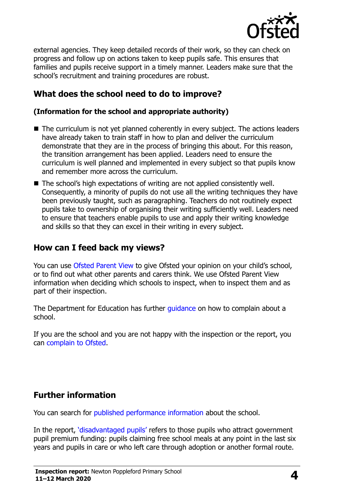

external agencies. They keep detailed records of their work, so they can check on progress and follow up on actions taken to keep pupils safe. This ensures that families and pupils receive support in a timely manner. Leaders make sure that the school's recruitment and training procedures are robust.

# **What does the school need to do to improve?**

#### **(Information for the school and appropriate authority)**

- The curriculum is not yet planned coherently in every subject. The actions leaders have already taken to train staff in how to plan and deliver the curriculum demonstrate that they are in the process of bringing this about. For this reason, the transition arrangement has been applied. Leaders need to ensure the curriculum is well planned and implemented in every subject so that pupils know and remember more across the curriculum.
- The school's high expectations of writing are not applied consistently well. Consequently, a minority of pupils do not use all the writing techniques they have been previously taught, such as paragraphing. Teachers do not routinely expect pupils take to ownership of organising their writing sufficiently well. Leaders need to ensure that teachers enable pupils to use and apply their writing knowledge and skills so that they can excel in their writing in every subject.

#### **How can I feed back my views?**

You can use [Ofsted Parent View](http://parentview.ofsted.gov.uk/) to give Ofsted your opinion on your child's school, or to find out what other parents and carers think. We use Ofsted Parent View information when deciding which schools to inspect, when to inspect them and as part of their inspection.

The Department for Education has further quidance on how to complain about a school.

If you are the school and you are not happy with the inspection or the report, you can [complain to Ofsted.](http://www.gov.uk/complain-ofsted-report)

## **Further information**

You can search for [published performance information](http://www.compare-school-performance.service.gov.uk/) about the school.

In the report, '[disadvantaged pupils](http://www.gov.uk/guidance/pupil-premium-information-for-schools-and-alternative-provision-settings)' refers to those pupils who attract government pupil premium funding: pupils claiming free school meals at any point in the last six years and pupils in care or who left care through adoption or another formal route.

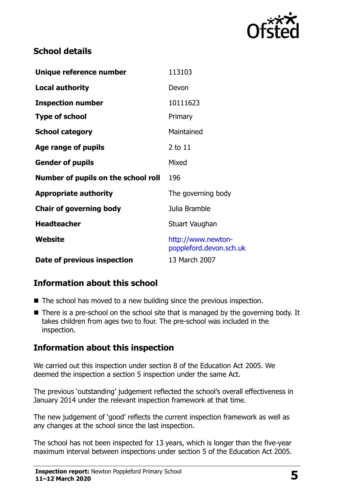

# **School details**

| Unique reference number             | 113103                                        |
|-------------------------------------|-----------------------------------------------|
| <b>Local authority</b>              | Devon                                         |
| <b>Inspection number</b>            | 10111623                                      |
| <b>Type of school</b>               | Primary                                       |
| <b>School category</b>              | Maintained                                    |
| Age range of pupils                 | $2$ to $11$                                   |
| <b>Gender of pupils</b>             | Mixed                                         |
| Number of pupils on the school roll | 196                                           |
| <b>Appropriate authority</b>        | The governing body                            |
| <b>Chair of governing body</b>      | Julia Bramble                                 |
| <b>Headteacher</b>                  | Stuart Vaughan                                |
| <b>Website</b>                      | http://www.newton-<br>poppleford.devon.sch.uk |
| Date of previous inspection         | 13 March 2007                                 |

# **Information about this school**

- The school has moved to a new building since the previous inspection.
- $\blacksquare$  There is a pre-school on the school site that is managed by the governing body. It takes children from ages two to four. The pre-school was included in the inspection.

## **Information about this inspection**

We carried out this inspection under section 8 of the Education Act 2005. We deemed the inspection a section 5 inspection under the same Act.

The previous 'outstanding' judgement reflected the school's overall effectiveness in January 2014 under the relevant inspection framework at that time.

The new judgement of 'good' reflects the current inspection framework as well as any changes at the school since the last inspection.

The school has not been inspected for 13 years, which is longer than the five-year maximum interval between inspections under section 5 of the Education Act 2005.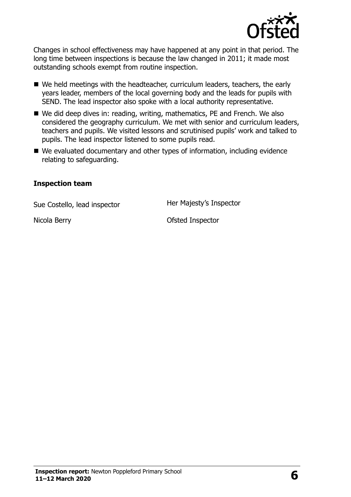

Changes in school effectiveness may have happened at any point in that period. The long time between inspections is because the law changed in 2011; it made most outstanding schools exempt from routine inspection.

- We held meetings with the headteacher, curriculum leaders, teachers, the early years leader, members of the local governing body and the leads for pupils with SEND. The lead inspector also spoke with a local authority representative.
- We did deep dives in: reading, writing, mathematics, PE and French. We also considered the geography curriculum. We met with senior and curriculum leaders, teachers and pupils. We visited lessons and scrutinised pupils' work and talked to pupils. The lead inspector listened to some pupils read.
- We evaluated documentary and other types of information, including evidence relating to safeguarding.

#### **Inspection team**

Sue Costello, lead inspector **Her Majesty's Inspector** 

Nicola Berry **Ofsted Inspector**